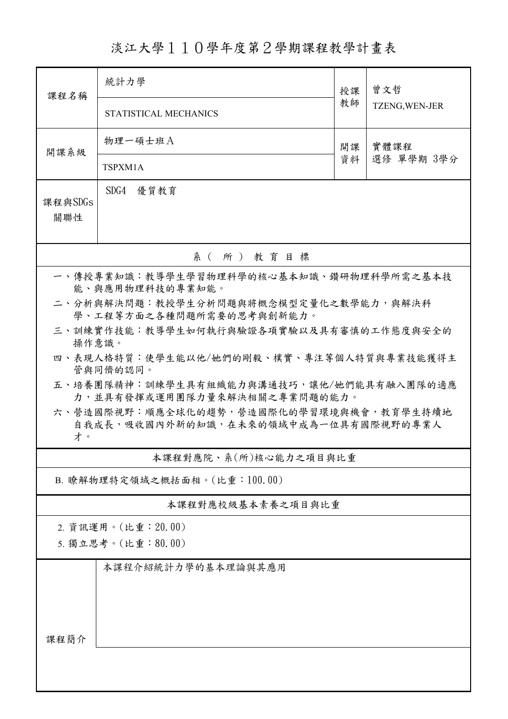## 淡江大學110學年度第2學期課程教學計畫表

| 課程名稱                                                                                  | 統計力學                                                                     | 授課         | 曾文哲<br>TZENG, WEN-JER |  |  |  |  |
|---------------------------------------------------------------------------------------|--------------------------------------------------------------------------|------------|-----------------------|--|--|--|--|
|                                                                                       | STATISTICAL MECHANICS                                                    | 教師         |                       |  |  |  |  |
| 開課系級                                                                                  | 物理一碩士班A                                                                  | 實體課程<br>開課 |                       |  |  |  |  |
|                                                                                       | TSPXM1A                                                                  | 資料         | 選修 單學期 3學分            |  |  |  |  |
| 課程與SDGs<br>關聯性                                                                        | SDG4<br>優質教育                                                             |            |                       |  |  |  |  |
| 系(所)教育目標                                                                              |                                                                          |            |                       |  |  |  |  |
| 一、傳授專業知識:教導學生學習物理科學的核心基本知識、鑽研物理科學所需之基本技<br>能、與應用物理科技的專業知能。                            |                                                                          |            |                       |  |  |  |  |
|                                                                                       | 二、分析與解決問題:教授學生分析問題與將概念模型定量化之數學能力,與解決科<br>學、工程等方面之各種問題所需要的思考與創新能力。        |            |                       |  |  |  |  |
| 三、訓練實作技能:教導學生如何執行與驗證各項實驗以及具有審慎的工作態度與安全的<br>操作意識。                                      |                                                                          |            |                       |  |  |  |  |
| 四、表現人格特質:使學生能以他/她們的剛毅、樸實、專注等個人特質與專業技能獲得主<br>管與同儕的認同。                                  |                                                                          |            |                       |  |  |  |  |
|                                                                                       | 五、培養團隊精神:訓練學生具有組織能力與溝通技巧,讓他/她們能具有融入團隊的適應<br>力,並具有發揮或運用團隊力量來解決相關之專業問題的能力。 |            |                       |  |  |  |  |
| 六、營造國際視野:順應全球化的趨勢,營造國際化的學習環境與機會,教育學生持續地<br>自我成長,吸收國內外新的知識,在未來的領域中成為一位具有國際視野的專業人<br>才。 |                                                                          |            |                       |  |  |  |  |
| 本課程對應院、系(所)核心能力之項目與比重                                                                 |                                                                          |            |                       |  |  |  |  |
| B. 瞭解物理特定領域之概括面相。(比重:100.00)                                                          |                                                                          |            |                       |  |  |  |  |
| 本課程對應校級基本素養之項目與比重                                                                     |                                                                          |            |                       |  |  |  |  |
| 2. 資訊運用。(比重: 20.00)<br>5. 獨立思考。(比重:80.00)                                             |                                                                          |            |                       |  |  |  |  |
|                                                                                       | 本課程介紹統計力學的基本理論與其應用                                                       |            |                       |  |  |  |  |
| 課程簡介                                                                                  |                                                                          |            |                       |  |  |  |  |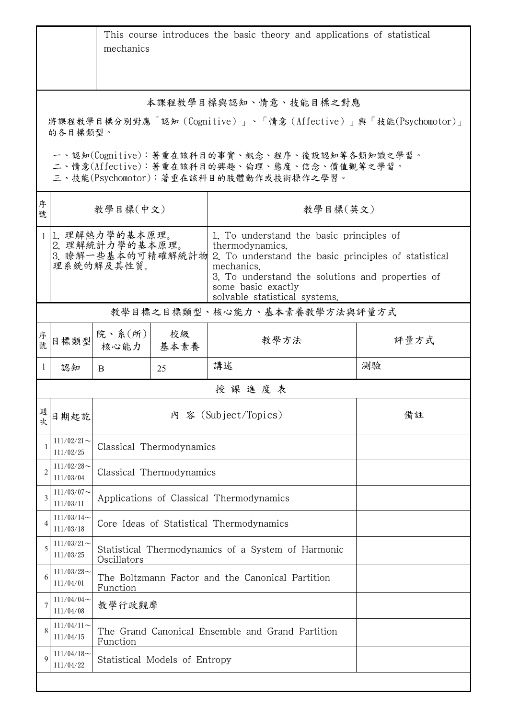|                                                                                                                                        | This course introduces the basic theory and applications of statistical<br>mechanics |                                                                                                         |            |                                                                    |      |  |  |
|----------------------------------------------------------------------------------------------------------------------------------------|--------------------------------------------------------------------------------------|---------------------------------------------------------------------------------------------------------|------------|--------------------------------------------------------------------|------|--|--|
| 本課程教學目標與認知、情意、技能目標之對應                                                                                                                  |                                                                                      |                                                                                                         |            |                                                                    |      |  |  |
| 將課程教學目標分別對應「認知 (Cognitive)」、「情意 (Affective)」與「技能(Psychomotor)」<br>的各目標類型。                                                              |                                                                                      |                                                                                                         |            |                                                                    |      |  |  |
| 一、認知(Cognitive):著重在該科目的事實、概念、程序、後設認知等各類知識之學習。<br>二、情意(Affective):著重在該科目的興趣、倫理、態度、信念、價值觀等之學習。<br>三、技能(Psychomotor):著重在該科目的肢體動作或技術操作之學習。 |                                                                                      |                                                                                                         |            |                                                                    |      |  |  |
| 序<br>號                                                                                                                                 |                                                                                      | 教學目標(中文)                                                                                                |            | 教學目標(英文)                                                           |      |  |  |
|                                                                                                                                        |                                                                                      | 1. 理解熱力學的基本原理。<br>2. 理解統計力學的基本原理。                                                                       |            | 1. To understand the basic principles of<br>thermodynamics.        |      |  |  |
|                                                                                                                                        | 3. 瞭解一些基本的可精確解統計物<br>理系統的解及其性質。                                                      |                                                                                                         |            | 2. To understand the basic principles of statistical<br>mechanics. |      |  |  |
|                                                                                                                                        |                                                                                      | 3. To understand the solutions and properties of<br>some basic exactly<br>solvable statistical systems. |            |                                                                    |      |  |  |
| 教學目標之目標類型、核心能力、基本素養教學方法與評量方式                                                                                                           |                                                                                      |                                                                                                         |            |                                                                    |      |  |  |
| 序<br>·<br>號                                                                                                                            | 目標類型                                                                                 | 院、系(所) <br>核心能力                                                                                         | 校級<br>基本素養 | 教學方法                                                               | 評量方式 |  |  |
| -1                                                                                                                                     | 認知                                                                                   | B                                                                                                       | 25         | 講述                                                                 | 測驗   |  |  |
| 授課進度表                                                                                                                                  |                                                                                      |                                                                                                         |            |                                                                    |      |  |  |
| 週次                                                                                                                                     | 日期起訖                                                                                 |                                                                                                         |            | 內 容 (Subject/Topics)                                               | 備註   |  |  |
|                                                                                                                                        | $111/02/21$ ~<br>111/02/25                                                           | Classical Thermodynamics                                                                                |            |                                                                    |      |  |  |
|                                                                                                                                        | $111/02/28$ ~<br>111/03/04                                                           | Classical Thermodynamics                                                                                |            |                                                                    |      |  |  |
|                                                                                                                                        | $111/03/07$ ~<br>111/03/11                                                           | Applications of Classical Thermodynamics                                                                |            |                                                                    |      |  |  |
|                                                                                                                                        | $111/03/14$ ~<br>111/03/18                                                           | Core Ideas of Statistical Thermodynamics                                                                |            |                                                                    |      |  |  |
|                                                                                                                                        | $111/03/21$ ~<br>111/03/25                                                           | Statistical Thermodynamics of a System of Harmonic<br>Oscillators                                       |            |                                                                    |      |  |  |
| 6                                                                                                                                      | $111/03/28$ ~<br>111/04/01                                                           | The Boltzmann Factor and the Canonical Partition<br>Function                                            |            |                                                                    |      |  |  |
|                                                                                                                                        | $111/04/04$ ~<br>111/04/08                                                           |                                                                                                         | 教學行政觀摩     |                                                                    |      |  |  |
|                                                                                                                                        | $111/04/11$ ~<br>111/04/15                                                           | The Grand Canonical Ensemble and Grand Partition<br>Function                                            |            |                                                                    |      |  |  |
| $\mathbf Q$                                                                                                                            | $111/04/18$ ~<br>111/04/22                                                           | Statistical Models of Entropy                                                                           |            |                                                                    |      |  |  |
|                                                                                                                                        |                                                                                      |                                                                                                         |            |                                                                    |      |  |  |